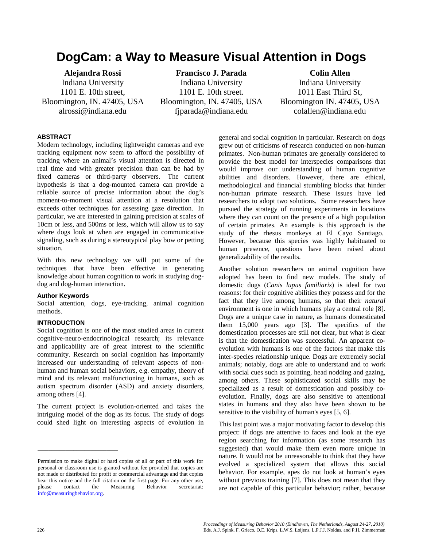# **DogCam: a Way to Measure Visual Attention in Dogs**

**Alejandra Rossi** Indiana University 1101 E. 10th street, Bloomington, IN. 47405, USA alrossi@indiana.edu

**Francisco J. Parada** Indiana University 1101 E. 10th street. Bloomington, IN. 47405, USA fjparada@indiana.edu

**Colin Allen** Indiana University 1011 East Third St, Bloomington IN. 47405, USA colallen@indiana.edu

### **ABSTRACT**

Modern technology, including lightweight cameras and eye tracking equipment now seem to afford the possibility of tracking where an animal's visual attention is directed in real time and with greater precision than can be had by fixed cameras or third-party observers. The current hypothesis is that a dog-mounted camera can provide a reliable source of precise information about the dog's moment-to-moment visual attention at a resolution that exceeds other techniques for assessing gaze direction. In particular, we are interested in gaining precision at scales of 10cm or less, and 500ms or less, which will allow us to say where dogs look at when are engaged in communicative signaling, such as during a stereotypical play bow or petting situation.

With this new technology we will put some of the techniques that have been effective in generating knowledge about human cognition to work in studying dogdog and dog-human interaction.

#### **Author Keywords**

Social attention, dogs, eye-tracking, animal cognition methods.

#### **INTRODUCTION**

\_\_\_\_\_\_\_\_\_\_\_\_\_\_\_\_\_\_\_\_\_\_\_\_\_\_\_\_\_

Social cognition is one of the most studied areas in current cognitive-neuro-endocrinological research; its relevance and applicability are of great interest to the scientific community. Research on social cognition has importantly increased our understanding of relevant aspects of nonhuman and human social behaviors, e.g. empathy, theory of mind and its relevant malfunctioning in humans, such as autism spectrum disorder (ASD) and anxiety disorders, among others [4].

The current project is evolution-oriented and takes the intriguing model of the dog as its focus. The study of dogs could shed light on interesting aspects of evolution in

general and social cognition in particular. Research on dogs grew out of criticisms of research conducted on non-human primates. Non-human primates are generally considered to provide the best model for interspecies comparisons that would improve our understanding of human cognitive abilities and disorders. However, there are ethical, methodological and financial stumbling blocks that hinder non-human primate research. These issues have led researchers to adopt two solutions. Some researchers have pursued the strategy of running experiments in locations where they can count on the presence of a high population of certain primates. An example is this approach is the study of the rhesus monkeys at El Cayo Santiago. However, because this species was highly habituated to human presence, questions have been raised about generalizability of the results.

Another solution researchers on animal cognition have adopted has been to find new models. The study of domestic dogs (*Canis lupus familiaris*) is ideal for two reasons: for their cognitive abilities they possess and for the fact that they live among humans, so that their *natural*  environment is one in which humans play a central role [8]. Dogs are a unique case in nature, as humans domesticated them 15,000 years ago [3]. The specifics of the domestication processes are still not clear, but what is clear is that the domestication was successful. An apparent coevolution with humans is one of the factors that make this inter-species relationship unique. Dogs are extremely social animals; notably, dogs are able to understand and to work with social cues such as pointing, head nodding and gazing, among others. These sophisticated social skills may be specialized as a result of domestication and possibly coevolution. Finally, dogs are also sensitive to attentional states in humans and they also have been shown to be sensitive to the visibility of human's eyes [5, 6].

This last point was a major motivating factor to develop this project: if dogs are attentive to faces and look at the eye region searching for information (as some research has suggested) that would make them even more unique in nature. It would not be unreasonable to think that they have evolved a specialized system that allows this social behavior. For example, apes do not look at human's eyes without previous training [7]. This does not mean that they are not capable of this particular behavior; rather, because

Permission to make digital or hard copies of all or part of this work for personal or classroom use is granted without fee provided that copies are not made or distributed for profit or commercial advantage and that copies bear this notice and the full citation on the first page. For any other use, please contact the Measuring Behavior secretariat: [info@measuringbehavior.org.](mailto:info@measuringbehavior.org)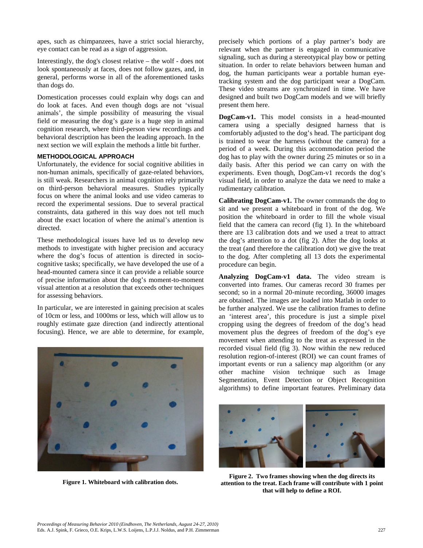apes, such as chimpanzees, have a strict social hierarchy, eye contact can be read as a sign of aggression.

Interestingly, the dog's closest relative – the wolf - does not look spontaneously at faces, does not follow gazes, and, in general, performs worse in all of the aforementioned tasks than dogs do.

Domestication processes could explain why dogs can and do look at faces. And even though dogs are not 'visual animals', the simple possibility of measuring the visual field or measuring the dog's gaze is a huge step in animal cognition research, where third-person view recordings and behavioral description has been the leading approach. In the next section we will explain the methods a little bit further.

#### **METHODOLOGICAL APPROACH**

Unfortunately, the evidence for social cognitive abilities in non-human animals, specifically of gaze-related behaviors, is still weak. Researchers in animal cognition rely primarily on third-person behavioral measures. Studies typically focus on where the animal looks and use video cameras to record the experimental sessions. Due to several practical constraints, data gathered in this way does not tell much about the exact location of where the animal's attention is directed.

These methodological issues have led us to develop new methods to investigate with higher precision and accuracy where the dog's focus of attention is directed in sociocognitive tasks; specifically, we have developed the use of a head-mounted camera since it can provide a reliable source of precise information about the dog's moment-to-moment visual attention at a resolution that exceeds other techniques for assessing behaviors.

In particular, we are interested in gaining precision at scales of 10cm or less, and 1000ms or less, which will allow us to roughly estimate gaze direction (and indirectly attentional focusing). Hence, we are able to determine, for example,



**Figure 1. Whiteboard with calibration dots.**

precisely which portions of a play partner's body are relevant when the partner is engaged in communicative signaling, such as during a stereotypical play bow or petting situation. In order to relate behaviors between human and dog, the human participants wear a portable human eyetracking system and the dog participant wear a DogCam. These video streams are synchronized in time. We have designed and built two DogCam models and we will briefly present them here.

**DogCam-v1.** This model consists in a head-mounted camera using a specially designed harness that is comfortably adjusted to the dog's head. The participant dog is trained to wear the harness (without the camera) for a period of a week. During this accommodation period the dog has to play with the owner during 25 minutes or so in a daily basis. After this period we can carry on with the experiments. Even though, DogCam-v1 records the dog's visual field, in order to analyze the data we need to make a rudimentary calibration.

**Calibrating DogCam-v1.** The owner commands the dog to sit and we present a whiteboard in front of the dog. We position the whiteboard in order to fill the whole visual field that the camera can record (fig 1). In the whiteboard there are 13 calibration dots and we used a treat to attract the dog's attention to a dot (fig 2). After the dog looks at the treat (and therefore the calibration dot) we give the treat to the dog. After completing all 13 dots the experimental procedure can begin.

**Analyzing DogCam-v1 data.** The video stream is converted into frames. Our cameras record 30 frames per second; so in a normal 20-minute recording, 36000 images are obtained. The images are loaded into Matlab in order to be further analyzed. We use the calibration frames to define an 'interest area', this procedure is just a simple pixel cropping using the degrees of freedom of the dog's head movement plus the degrees of freedom of the dog's eye movement when attending to the treat as expressed in the recorded visual field (fig 3). Now within the new reduced resolution region-of-interest (ROI) we can count frames of important events or run a saliency map algorithm (or any other machine vision technique such as Image Segmentation, Event Detection or Object Recognition algorithms) to define important features. Preliminary data



**Figure 2. Two frames showing when the dog directs its attention to the treat. Each frame will contribute with 1 point that will help to define a ROI.**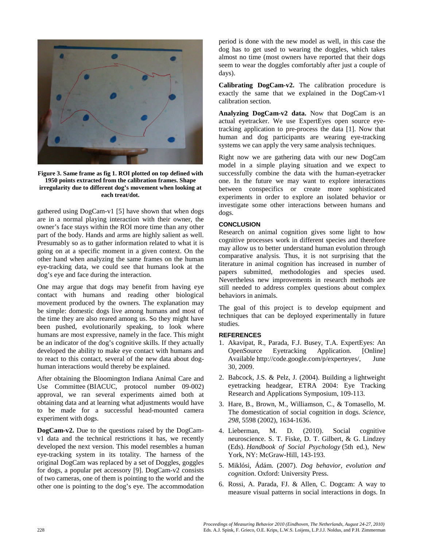

**Figure 3. Same frame as fig 1. ROI plotted on top defined with 1950 points extracted from the calibration frames. Shape irregularity due to different dog's movement when looking at each treat/dot.**

gathered using DogCam-v1 [5] have shown that when dogs are in a normal playing interaction with their owner, the owner's face stays within the ROI more time than any other part of the body. Hands and arms are highly salient as well. Presumably so as to gather information related to what it is going on at a specific moment in a given context. On the other hand when analyzing the same frames on the human eye-tracking data, we could see that humans look at the dog's eye and face during the interaction.

One may argue that dogs may benefit from having eye contact with humans and reading other biological movement produced by the owners. The explanation may be simple: domestic dogs live among humans and most of the time they are also reared among us. So they might have been pushed, evolutionarily speaking, to look where humans are most expressive, namely in the face. This might be an indicator of the dog's cognitive skills. If they actually developed the ability to make eye contact with humans and to react to this contact, several of the new data about doghuman interactions would thereby be explained.

After obtaining the Bloomington Indiana Animal Care and Use Committee (BIACUC, protocol number 09-002) approval, we ran several experiments aimed both at obtaining data and at learning what adjustments would have to be made for a successful head-mounted camera experiment with dogs.

**DogCam-v2.** Due to the questions raised by the DogCamv1 data and the technical restrictions it has, we recently developed the next version. This model resembles a human eye-tracking system in its totality. The harness of the original DogCam was replaced by a set of Doggles, goggles for dogs, a popular pet accessory [9]. DogCam-v2 consists of two cameras, one of them is pointing to the world and the other one is pointing to the dog's eye. The accommodation

period is done with the new model as well, in this case the dog has to get used to wearing the doggles, which takes almost no time (most owners have reported that their dogs seem to wear the doggles comfortably after just a couple of days).

**Calibrating DogCam-v2.** The calibration procedure is exactly the same that we explained in the DogCam-v1 calibration section.

**Analyzing DogCam-v2 data.** Now that DogCam is an actual eyetracker. We use ExpertEyes open source eyetracking application to pre-process the data [1]. Now that human and dog participants are wearing eye-tracking systems we can apply the very same analysis techniques.

Right now we are gathering data with our new DogCam model in a simple playing situation and we expect to successfully combine the data with the human-eyetracker one. In the future we may want to explore interactions between conspecifics or create more sophisticated experiments in order to explore an isolated behavior or investigate some other interactions between humans and dogs.

# **CONCLUSION**

Research on animal cognition gives some light to how cognitive processes work in different species and therefore may allow us to better understand human evolution through comparative analysis. Thus, it is not surprising that the literature in animal cognition has increased in number of papers submitted, methodologies and species used. Nevertheless new improvements in research methods are still needed to address complex questions about complex behaviors in animals.

The goal of this project is to develop equipment and techniques that can be deployed experimentally in future studies.

# **REFERENCES**

- 1. Akavipat, R., Parada, F.J. Busey, T.A. ExpertEyes: An OpenSource Eyetracking Application. [Online] Available [http://code.google.com/p/experteyes/,](http://code.google.com/p/experteyes/) June 30, 2009.
- 2. Babcock, J.S. & Pelz, J. (2004). Building a lightweight eyetracking headgear, ETRA 2004: Eye Tracking Research and Applications Symposium, 109-113.
- 3. Hare, B., Brown, M., Williamson, C., & Tomasello, M. The domestication of social cognition in dogs. *Science, 298*, 5598 (2002), 1634-1636.
- 4. Lieberman, M. D. (2010). Social cognitive neuroscience. S. T. Fiske, D. T. Gilbert, & G. Lindzey (Eds). *Handbook of Social Psychology* (5th ed.), New York, NY: McGraw-Hill, 143-193.
- 5. Miklósi, Ádám. (2007). *Dog behavior, evolution and cognition*. Oxford: University Press.
- 6. Rossi, A. Parada, FJ. & Allen, C. Dogcam: A way to measure visual patterns in social interactions in dogs. In